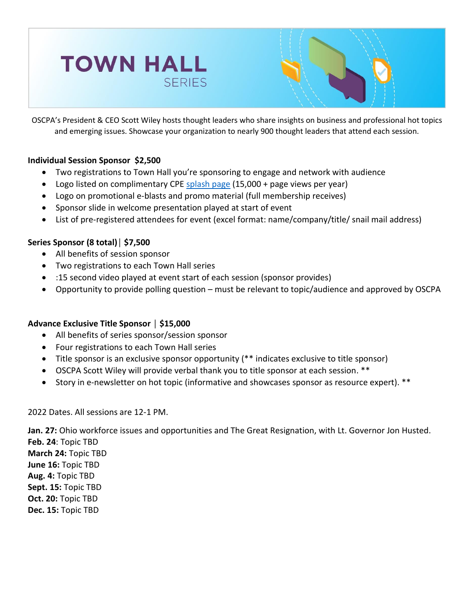



OSCPA's President & CEO Scott Wiley hosts thought leaders who share insights on business and professional hot topics and emerging issues. Showcase your organization to nearly 900 thought leaders that attend each session.

## **Individual Session Sponsor \$2,500**

- Two registrations to Town Hall you're sponsoring to engage and network with audience
- Logo listed on complimentary CPE [splash page](https://ohiocpa.com/cpe/complimentary-cpe) (15,000 + page views per year)
- Logo on promotional e-blasts and promo material (full membership receives)
- Sponsor slide in welcome presentation played at start of event
- List of pre-registered attendees for event (excel format: name/company/title/ snail mail address)

## **Series Sponsor (8 total)│ \$7,500**

- All benefits of session sponsor
- Two registrations to each Town Hall series
- :15 second video played at event start of each session (sponsor provides)
- Opportunity to provide polling question must be relevant to topic/audience and approved by OSCPA

## **Advance Exclusive Title Sponsor │ \$15,000**

- All benefits of series sponsor/session sponsor
- Four registrations to each Town Hall series
- Title sponsor is an exclusive sponsor opportunity (\*\* indicates exclusive to title sponsor)
- OSCPA Scott Wiley will provide verbal thank you to title sponsor at each session. \*\*
- Story in e-newsletter on hot topic (informative and showcases sponsor as resource expert). \*\*

2022 Dates. All sessions are 12-1 PM.

**Jan. 27:** Ohio workforce issues and opportunities and The Great Resignation, with Lt. Governor Jon Husted.

**Feb. 24**: Topic TBD **March 24:** Topic TBD **June 16:** Topic TBD **Aug. 4:** Topic TBD **Sept. 15:** Topic TBD **Oct. 20:** Topic TBD **Dec. 15:** Topic TBD